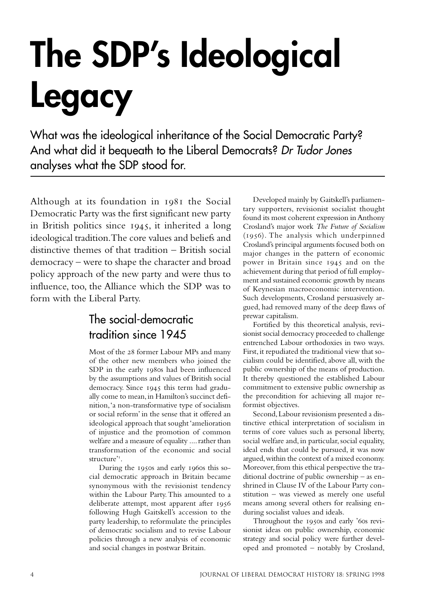# **The SDP's Ideological Legacy**

What was the ideological inheritance of the Social Democratic Party? And what did it bequeath to the Liberal Democrats? Dr Tudor Jones analyses what the SDP stood for.

Although at its foundation in 1981 the Social Democratic Party was the first significant new party in British politics since  $1945$ , it inherited a long ideological tradition. The core values and beliefs and distinctive themes of that tradition – British social democracy – were to shape the character and broad policy approach of the new party and were thus to influence, too, the Alliance which the SDP was to form with the Liberal Party.

## The social-democratic tradition since 1945

Most of the 28 former Labour MPs and many of the other new members who joined the SDP in the early 1980s had been influenced by the assumptions and values of British social democracy. Since 1945 this term had gradually come to mean, in Hamilton's succinct definition, 'a non-transformative type of socialism or social reform' in the sense that it offered an ideological approach that sought 'amelioration of injustice and the promotion of common welfare and a measure of equality .... rather than transformation of the economic and social structure' .

During the 1950s and early 1960s this social democratic approach in Britain became synonymous with the revisionist tendency within the Labour Party. This amounted to a deliberate attempt, most apparent after 1956 following Hugh Gaitskell's accession to the party leadership, to reformulate the principles of democratic socialism and to revise Labour policies through a new analysis of economic and social changes in postwar Britain.

Developed mainly by Gaitskell's parliamentary supporters, revisionist socialist thought found its most coherent expression in Anthony Crosland's major work *The Future of Socialism*  $(1956)$ . The analysis which underpinned Crosland's principal arguments focused both on major changes in the pattern of economic power in Britain since 1945 and on the achievement during that period of full employment and sustained economic growth by means of Keynesian macroeconomic intervention. Such developments, Crosland persuasively argued, had removed many of the deep flaws of prewar capitalism.

Fortified by this theoretical analysis, revisionist social democracy proceeded to challenge entrenched Labour orthodoxies in two ways. First, it repudiated the traditional view that socialism could be identified, above all, with the public ownership of the means of production. It thereby questioned the established Labour commitment to extensive public ownership as the precondition for achieving all major reformist objectives.

Second, Labour revisionism presented a distinctive ethical interpretation of socialism in terms of core values such as personal liberty, social welfare and, in particular, social equality, ideal ends that could be pursued, it was now argued, within the context of a mixed economy. Moreover, from this ethical perspective the traditional doctrine of public ownership – as enshrined in Clause IV of the Labour Party constitution – was viewed as merely one useful means among several others for realising enduring socialist values and ideals.

Throughout the 1950s and early '60s revisionist ideas on public ownership, economic strategy and social policy were further developed and promoted – notably by Crosland,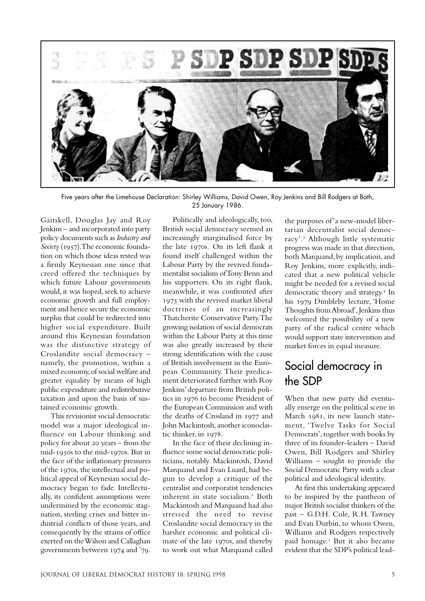

Five years after the Limehouse Declaration: Shirley Williams, David Owen, Roy Jenkins and Bill Rodgers at Bath, 25 January 1986.

Gaitskell, Douglas Jay and Roy Jenkins – and incorporated into party policy documents such as *Industry and Society* (1957). The economic foundation on which those ideas rested was a firmly Keynesian one since that creed offered the techniques by which future Labour governments would, it was hoped, seek to achieve economic growth and full employment and hence secure the economic surplus that could be redirected into higher social expenditure. Built around this Keynesian foundation was the distinctive strategy of Croslandite social democracy – namely, the promotion, within a mixed economy, of social welfare and greater equality by means of high public expenditure and redistributive taxation and upon the basis of sustained economic growth.

This revisionist social democratic model was a major ideological influence on Labour thinking and policy for about 20 years – from the  $mid-1950s$  to the mid- $1970s$ . But in the face of the inflationary pressures of the 1970s, the intellectual and political appeal of Keynesian social democracy began to fade. Intellectually, its confident assumptions were undermined by the economic stagnation, sterling crises and bitter industrial conflicts of those years, and consequently by the strains of office exerted on the Wilson and Callaghan governments between 1974 and '79.

Politically and ideologically, too, British social democracy seemed an increasingly marginalised force by the late 1970s. On its left flank it found itself challenged within the Labour Party by the revived fundamentalist socialism of Tony Benn and his supporters. On its right flank, meanwhile, it was confronted after 1975 with the revived market liberal doctrines of an increasingly Thatcherite Conservative Party. The growing isolation of social democrats within the Labour Party at this time was also greatly increased by their strong identification with the cause of British involvement in the European Community. Their predicament deteriorated further with Roy Jenkins' departure from British politics in 1976 to become President of the European Commission and with the deaths of Crosland in 1977 and John Mackintosh, another iconoclastic thinker, in 1978.

In the face of their declining influence some social democratic politicians, notably Mackintosh, David Marquand and Evan Luard, had begun to develop a critique of the centralist and corporatist tendencies inherent in state socialism.<sup>2</sup> Both Mackintosh and Marquand had also stressed the need to revise Croslandite social democracy in the harsher economic and political climate of the late 1970s, and thereby to work out what Marquand called the purposes of 'a new-model libertarian decentralist social democracy'. Although little systematic progress was made in that direction, both Marquand, by implication, and Roy Jenkins, more explicitly, indicated that a new political vehicle might be needed for a revised social democratic theory and strategy.<sup>4</sup> In his 1979 Dimbleby lecture, 'Home Thoughts from Abroad', Jenkins thus welcomed the possibility of a new party of the radical centre which would support state intervention and market forces in equal measure.

### Social democracy in the SDP

When that new party did eventually emerge on the political scene in March 1981, its new launch statement, 'Twelve Tasks for Social Democrats', together with books by three of its founder-leaders – David Owen, Bill Rodgers and Shirley Williams – sought to provide the Social Democratic Party with a clear political and ideological identity.

At first this undertaking appeared to be inspired by the pantheon of major British socialist thinkers of the past – G.D.H. Cole, R.H. Tawney and Evan Durbin, to whom Owen, Williams and Rodgers respectively paid homage.<sup>5</sup> But it also became evident that the SDP's political lead-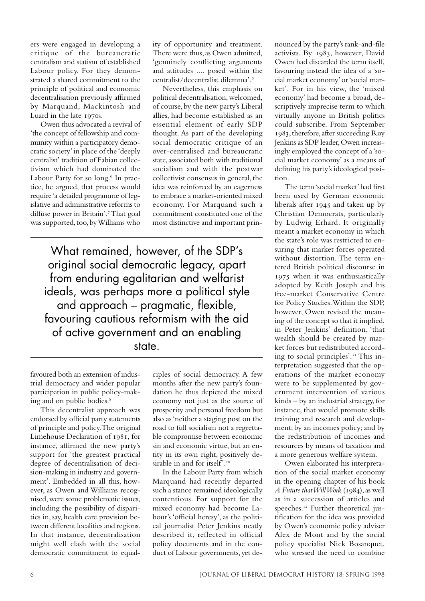ers were engaged in developing a critique of the bureaucratic centralism and statism of established Labour policy. For they demonstrated a shared commitment to the principle of political and economic decentralisation previously affirmed by Marquand, Mackintosh and Luard in the late 1970s.

Owen thus advocated a revival of 'the concept of fellowship and community within a participatory democratic society' in place of the 'deeply centralist' tradition of Fabian collectivism which had dominated the Labour Party for so long.<sup>6</sup> In practice, he argued, that process would require 'a detailed programme of legislative and administrative reforms to diffuse power in Britain'.<sup>7</sup> That goal was supported, too, by Williams who

ity of opportunity and treatment. There were thus, as Owen admitted, 'genuinely conflicting arguments and attitudes .... posed within the centralist/decentralist dilemma'.

Nevertheless, this emphasis on political decentralisation, welcomed, of course, by the new party's Liberal allies, had become established as an essential element of early SDP thought. As part of the developing social democratic critique of an over-centralised and bureaucratic state, associated both with traditional socialism and with the postwar collectivist consensus in general, the idea was reinforced by an eagerness to embrace a market-oriented mixed economy. For Marquand such a commitment constituted one of the most distinctive and important prin-

What remained, however, of the SDP's original social democratic legacy, apart from enduring egalitarian and welfarist ideals, was perhaps more a political style and approach – pragmatic, flexible, favouring cautious reformism with the aid of active government and an enabling state.

favoured both an extension of industrial democracy and wider popular participation in public policy-making and on public bodies.

This decentralist approach was endorsed by official party statements of principle and policy. The original Limehouse Declaration of 1981, for instance, affirmed the new party's support for 'the greatest practical degree of decentralisation of decision-making in industry and government'. Embedded in all this, however, as Owen and Williams recognised, were some problematic issues, including the possibility of disparities in, say, health care provision between different localities and regions. In that instance, decentralisation might well clash with the social democratic commitment to equalciples of social democracy. A few months after the new party's foundation he thus depicted the mixed economy not just as the source of prosperity and personal freedom but also as 'neither a staging post on the road to full socialism not a regrettable compromise between economic sin and economic virtue, but an entity in its own right, positively desirable in and for itself'.<sup>10</sup>

In the Labour Party from which Marquand had recently departed such a stance remained ideologically contentious. For support for the mixed economy had become Labour's 'official heresy', as the political journalist Peter Jenkins neatly described it, reflected in official policy documents and in the conduct of Labour governments, yet de-

nounced by the party's rank-and-file activists. By 1983, however, David Owen had discarded the term itself, favouring instead the idea of a 'social market economy' or 'social market'. For in his view, the 'mixed economy' had become a broad, descriptively imprecise term to which virtually anyone in British politics could subscribe. From September 1983, therefore, after succeeding Roy Jenkins as SDP leader, Owen increasingly employed the concept of a 'social market economy' as a means of defining his party's ideological position.

The term 'social market' had first been used by German economic liberals after  $1945$  and taken up by Christian Democrats, particularly by Ludwig Erhard. It originally meant a market economy in which the state's role was restricted to ensuring that market forces operated without distortion. The term entered British political discourse in when it was enthusiastically adopted by Keith Joseph and his free-market Conservative Centre for Policy Studies. Within the SDP, however, Owen revised the meaning of the concept so that it implied, in Peter Jenkins' definition, 'that wealth should be created by market forces but redistributed according to social principles'. This interpretation suggested that the operations of the market economy were to be supplemented by government intervention of various kinds – by an industrial strategy, for instance, that would promote skills training and research and development; by an incomes policy; and by the redistribution of incomes and resources by means of taxation and a more generous welfare system.

Owen elaborated his interpretation of the social market economy in the opening chapter of his book *A Future that Will Work* (1984), as well as in a succession of articles and speeches.<sup>12</sup> Further theoretical justification for the idea was provided by Owen's economic policy adviser Alex de Mont and by the social policy specialist Nick Bosanquet, who stressed the need to combine